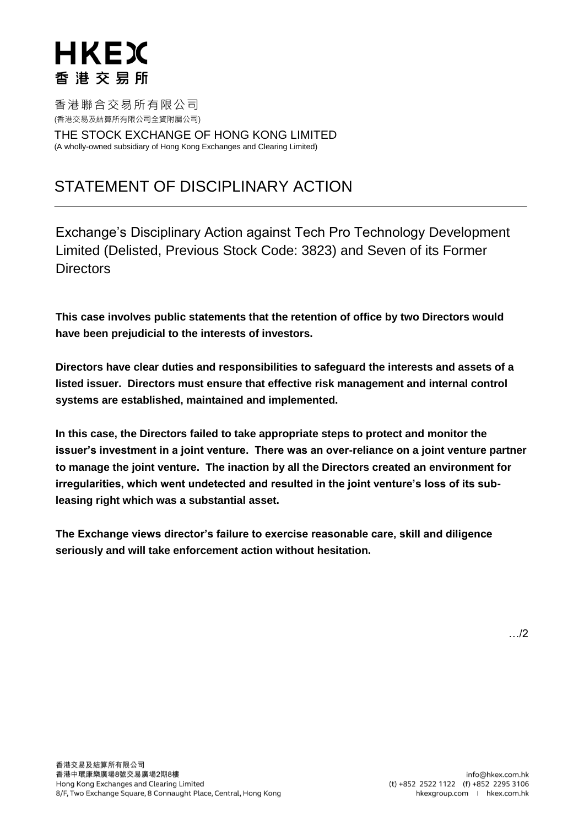香港聯合交易所有限公司 (香港交易及結算所有限公司全資附屬公司)

THE STOCK EXCHANGE OF HONG KONG LIMITED (A wholly-owned subsidiary of Hong Kong Exchanges and Clearing Limited)

### STATEMENT OF DISCIPLINARY ACTION

Exchange's Disciplinary Action against Tech Pro Technology Development Limited (Delisted, Previous Stock Code: 3823) and Seven of its Former **Directors** 

**This case involves public statements that the retention of office by two Directors would have been prejudicial to the interests of investors.**

**Directors have clear duties and responsibilities to safeguard the interests and assets of a listed issuer. Directors must ensure that effective risk management and internal control systems are established, maintained and implemented.** 

**In this case, the Directors failed to take appropriate steps to protect and monitor the issuer's investment in a joint venture. There was an over-reliance on a joint venture partner to manage the joint venture. The inaction by all the Directors created an environment for irregularities, which went undetected and resulted in the joint venture's loss of its subleasing right which was a substantial asset.** 

**The Exchange views director's failure to exercise reasonable care, skill and diligence seriously and will take enforcement action without hesitation.**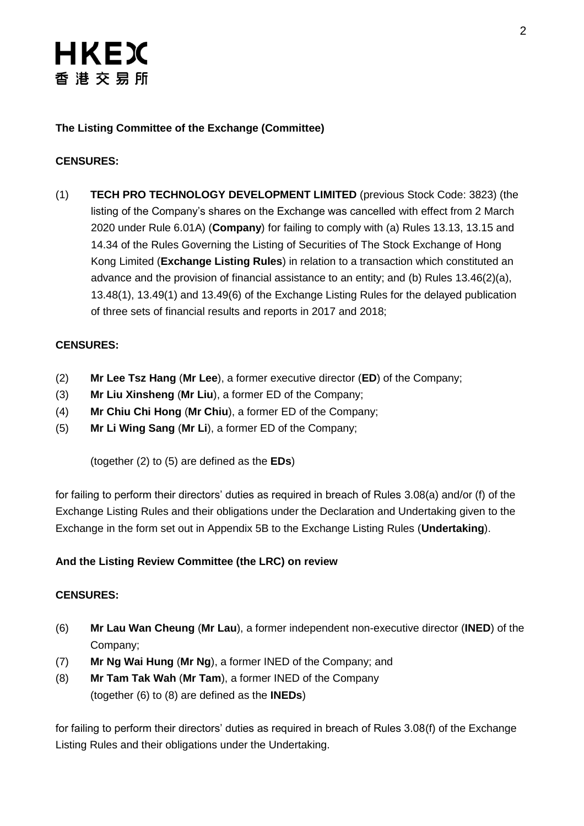### **The Listing Committee of the Exchange (Committee)**

### **CENSURES:**

(1) **TECH PRO TECHNOLOGY DEVELOPMENT LIMITED** (previous Stock Code: 3823) (the listing of the Company's shares on the Exchange was cancelled with effect from 2 March 2020 under Rule 6.01A) (**Company**) for failing to comply with (a) Rules 13.13, 13.15 and 14.34 of the Rules Governing the Listing of Securities of The Stock Exchange of Hong Kong Limited (**Exchange Listing Rules**) in relation to a transaction which constituted an advance and the provision of financial assistance to an entity; and (b) Rules 13.46(2)(a), 13.48(1), 13.49(1) and 13.49(6) of the Exchange Listing Rules for the delayed publication of three sets of financial results and reports in 2017 and 2018;

### **CENSURES:**

- (2) **Mr Lee Tsz Hang** (**Mr Lee**), a former executive director (**ED**) of the Company;
- (3) **Mr Liu Xinsheng** (**Mr Liu**), a former ED of the Company;
- (4) **Mr Chiu Chi Hong** (**Mr Chiu**), a former ED of the Company;
- (5) **Mr Li Wing Sang** (**Mr Li**), a former ED of the Company;

(together (2) to (5) are defined as the **EDs**)

for failing to perform their directors' duties as required in breach of Rules 3.08(a) and/or (f) of the Exchange Listing Rules and their obligations under the Declaration and Undertaking given to the Exchange in the form set out in Appendix 5B to the Exchange Listing Rules (**Undertaking**).

### **And the Listing Review Committee (the LRC) on review**

### **CENSURES:**

- (6) **Mr Lau Wan Cheung** (**Mr Lau**), a former independent non-executive director (**INED**) of the Company;
- (7) **Mr Ng Wai Hung** (**Mr Ng**), a former INED of the Company; and
- (8) **Mr Tam Tak Wah** (**Mr Tam**), a former INED of the Company (together (6) to (8) are defined as the **INEDs**)

for failing to perform their directors' duties as required in breach of Rules 3.08(f) of the Exchange Listing Rules and their obligations under the Undertaking.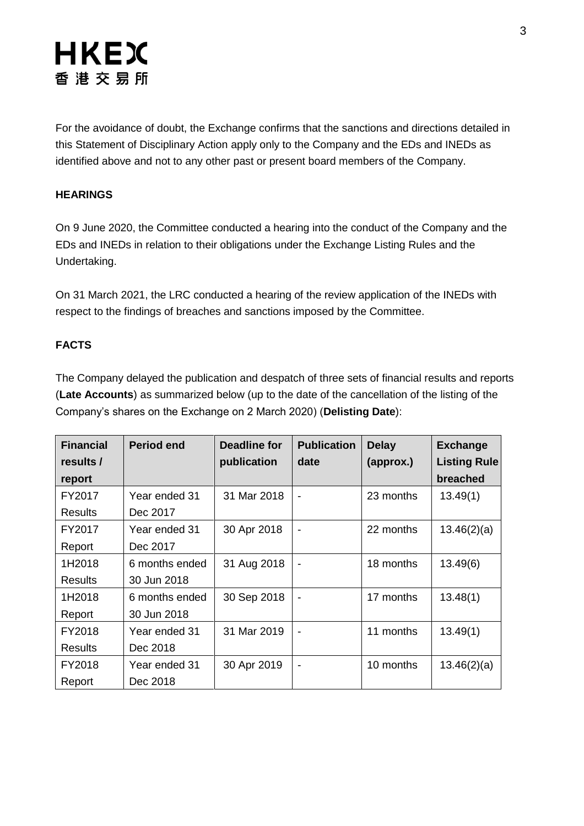For the avoidance of doubt, the Exchange confirms that the sanctions and directions detailed in this Statement of Disciplinary Action apply only to the Company and the EDs and INEDs as identified above and not to any other past or present board members of the Company.

#### **HEARINGS**

On 9 June 2020, the Committee conducted a hearing into the conduct of the Company and the EDs and INEDs in relation to their obligations under the Exchange Listing Rules and the Undertaking.

On 31 March 2021, the LRC conducted a hearing of the review application of the INEDs with respect to the findings of breaches and sanctions imposed by the Committee.

#### **FACTS**

The Company delayed the publication and despatch of three sets of financial results and reports (**Late Accounts**) as summarized below (up to the date of the cancellation of the listing of the Company's shares on the Exchange on 2 March 2020) (**Delisting Date**):

| <b>Financial</b> | <b>Period end</b> | Deadline for | <b>Publication</b>       | <b>Delay</b> | <b>Exchange</b>     |
|------------------|-------------------|--------------|--------------------------|--------------|---------------------|
| results /        |                   | publication  | date                     | (approx.)    | <b>Listing Rule</b> |
| report           |                   |              |                          |              | breached            |
| FY2017           | Year ended 31     | 31 Mar 2018  | $\overline{\phantom{a}}$ | 23 months    | 13.49(1)            |
| Results          | Dec 2017          |              |                          |              |                     |
| FY2017           | Year ended 31     | 30 Apr 2018  |                          | 22 months    | 13.46(2)(a)         |
| Report           | Dec 2017          |              |                          |              |                     |
| 1H2018           | 6 months ended    | 31 Aug 2018  |                          | 18 months    | 13.49(6)            |
| <b>Results</b>   | 30 Jun 2018       |              |                          |              |                     |
| 1H2018           | 6 months ended    | 30 Sep 2018  |                          | 17 months    | 13.48(1)            |
| Report           | 30 Jun 2018       |              |                          |              |                     |
| FY2018           | Year ended 31     | 31 Mar 2019  |                          | 11 months    | 13.49(1)            |
| <b>Results</b>   | Dec 2018          |              |                          |              |                     |
| FY2018           | Year ended 31     | 30 Apr 2019  | $\blacksquare$           | 10 months    | 13.46(2)(a)         |
| Report           | Dec 2018          |              |                          |              |                     |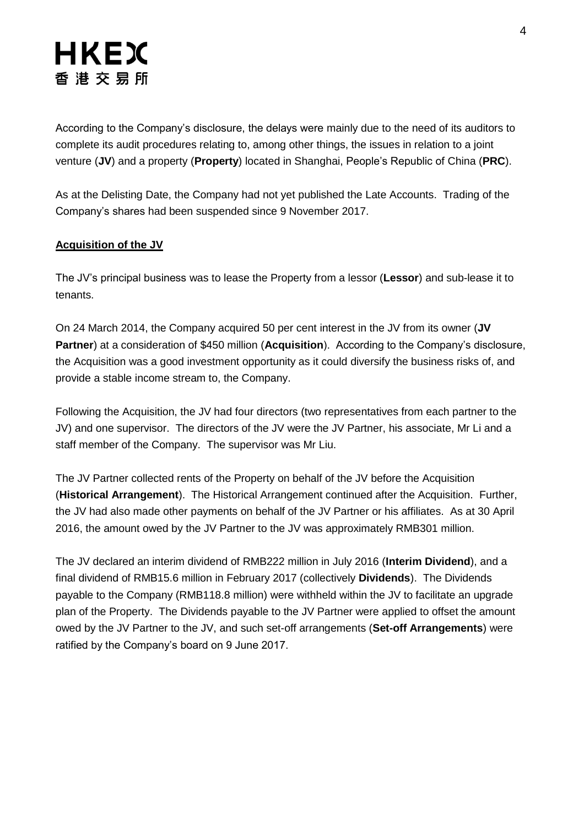According to the Company's disclosure, the delays were mainly due to the need of its auditors to complete its audit procedures relating to, among other things, the issues in relation to a joint venture (**JV**) and a property (**Property**) located in Shanghai, People's Republic of China (**PRC**).

As at the Delisting Date, the Company had not yet published the Late Accounts. Trading of the Company's shares had been suspended since 9 November 2017.

#### **Acquisition of the JV**

The JV's principal business was to lease the Property from a lessor (**Lessor**) and sub-lease it to tenants.

On 24 March 2014, the Company acquired 50 per cent interest in the JV from its owner (**JV Partner**) at a consideration of \$450 million (**Acquisition**). According to the Company's disclosure, the Acquisition was a good investment opportunity as it could diversify the business risks of, and provide a stable income stream to, the Company.

Following the Acquisition, the JV had four directors (two representatives from each partner to the JV) and one supervisor. The directors of the JV were the JV Partner, his associate, Mr Li and a staff member of the Company. The supervisor was Mr Liu.

The JV Partner collected rents of the Property on behalf of the JV before the Acquisition (**Historical Arrangement**). The Historical Arrangement continued after the Acquisition. Further, the JV had also made other payments on behalf of the JV Partner or his affiliates. As at 30 April 2016, the amount owed by the JV Partner to the JV was approximately RMB301 million.

The JV declared an interim dividend of RMB222 million in July 2016 (**Interim Dividend**), and a final dividend of RMB15.6 million in February 2017 (collectively **Dividends**). The Dividends payable to the Company (RMB118.8 million) were withheld within the JV to facilitate an upgrade plan of the Property. The Dividends payable to the JV Partner were applied to offset the amount owed by the JV Partner to the JV, and such set-off arrangements (**Set-off Arrangements**) were ratified by the Company's board on 9 June 2017.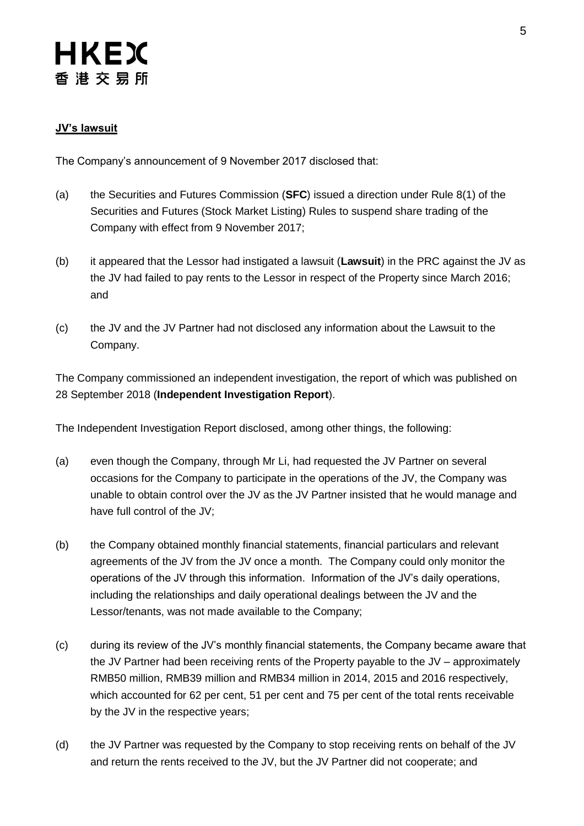#### **JV's lawsuit**

The Company's announcement of 9 November 2017 disclosed that:

- (a) the Securities and Futures Commission (**SFC**) issued a direction under Rule 8(1) of the Securities and Futures (Stock Market Listing) Rules to suspend share trading of the Company with effect from 9 November 2017;
- (b) it appeared that the Lessor had instigated a lawsuit (**Lawsuit**) in the PRC against the JV as the JV had failed to pay rents to the Lessor in respect of the Property since March 2016; and
- (c) the JV and the JV Partner had not disclosed any information about the Lawsuit to the Company.

The Company commissioned an independent investigation, the report of which was published on 28 September 2018 (**Independent Investigation Report**).

The Independent Investigation Report disclosed, among other things, the following:

- (a) even though the Company, through Mr Li, had requested the JV Partner on several occasions for the Company to participate in the operations of the JV, the Company was unable to obtain control over the JV as the JV Partner insisted that he would manage and have full control of the JV;
- (b) the Company obtained monthly financial statements, financial particulars and relevant agreements of the JV from the JV once a month. The Company could only monitor the operations of the JV through this information. Information of the JV's daily operations, including the relationships and daily operational dealings between the JV and the Lessor/tenants, was not made available to the Company;
- (c) during its review of the JV's monthly financial statements, the Company became aware that the JV Partner had been receiving rents of the Property payable to the JV – approximately RMB50 million, RMB39 million and RMB34 million in 2014, 2015 and 2016 respectively, which accounted for 62 per cent, 51 per cent and 75 per cent of the total rents receivable by the JV in the respective years;
- (d) the JV Partner was requested by the Company to stop receiving rents on behalf of the JV and return the rents received to the JV, but the JV Partner did not cooperate; and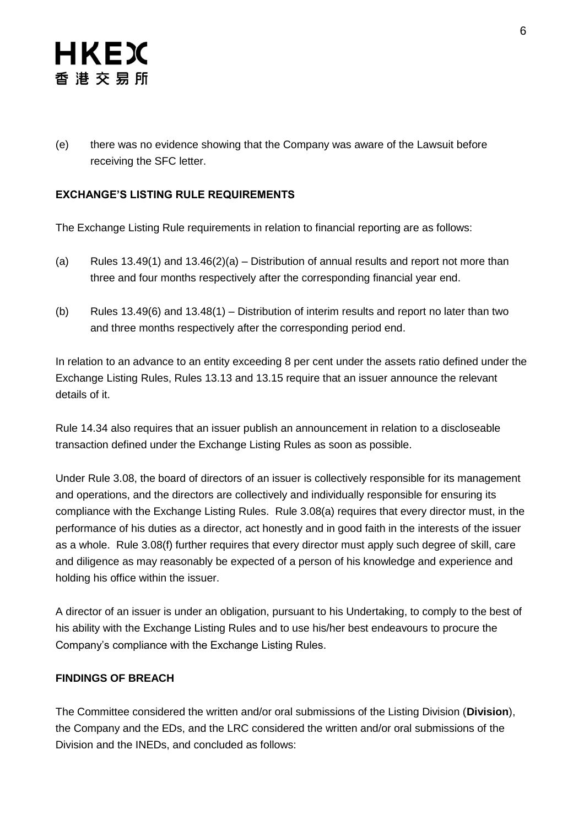(e) there was no evidence showing that the Company was aware of the Lawsuit before receiving the SFC letter.

### **EXCHANGE'S LISTING RULE REQUIREMENTS**

The Exchange Listing Rule requirements in relation to financial reporting are as follows:

- (a) Rules 13.49(1) and  $13.46(2)(a)$  Distribution of annual results and report not more than three and four months respectively after the corresponding financial year end.
- (b) Rules 13.49(6) and 13.48(1) Distribution of interim results and report no later than two and three months respectively after the corresponding period end.

In relation to an advance to an entity exceeding 8 per cent under the assets ratio defined under the Exchange Listing Rules, Rules 13.13 and 13.15 require that an issuer announce the relevant details of it.

Rule 14.34 also requires that an issuer publish an announcement in relation to a discloseable transaction defined under the Exchange Listing Rules as soon as possible.

Under Rule 3.08, the board of directors of an issuer is collectively responsible for its management and operations, and the directors are collectively and individually responsible for ensuring its compliance with the Exchange Listing Rules. Rule 3.08(a) requires that every director must, in the performance of his duties as a director, act honestly and in good faith in the interests of the issuer as a whole. Rule 3.08(f) further requires that every director must apply such degree of skill, care and diligence as may reasonably be expected of a person of his knowledge and experience and holding his office within the issuer.

A director of an issuer is under an obligation, pursuant to his Undertaking, to comply to the best of his ability with the Exchange Listing Rules and to use his/her best endeavours to procure the Company's compliance with the Exchange Listing Rules.

#### **FINDINGS OF BREACH**

The Committee considered the written and/or oral submissions of the Listing Division (**Division**), the Company and the EDs, and the LRC considered the written and/or oral submissions of the Division and the INEDs, and concluded as follows: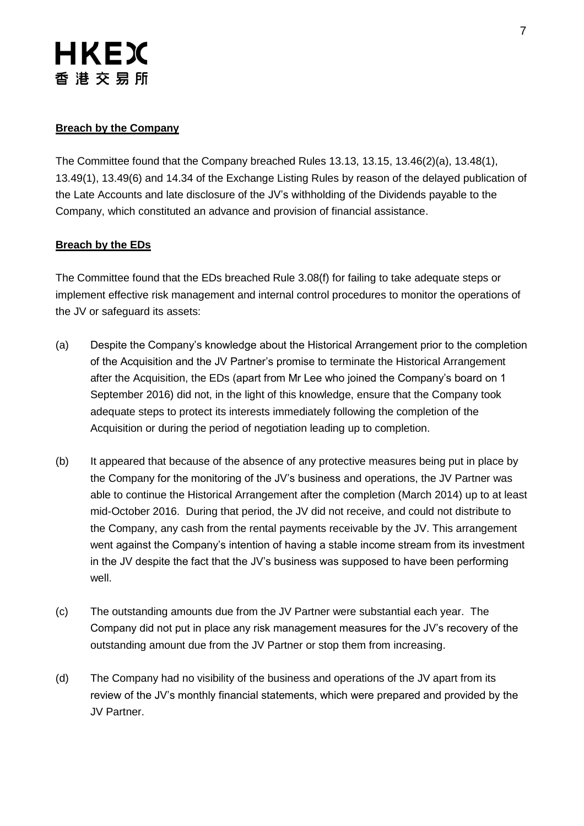#### **Breach by the Company**

The Committee found that the Company breached Rules 13.13, 13.15, 13.46(2)(a), 13.48(1), 13.49(1), 13.49(6) and 14.34 of the Exchange Listing Rules by reason of the delayed publication of the Late Accounts and late disclosure of the JV's withholding of the Dividends payable to the Company, which constituted an advance and provision of financial assistance.

#### **Breach by the EDs**

The Committee found that the EDs breached Rule 3.08(f) for failing to take adequate steps or implement effective risk management and internal control procedures to monitor the operations of the JV or safeguard its assets:

- (a) Despite the Company's knowledge about the Historical Arrangement prior to the completion of the Acquisition and the JV Partner's promise to terminate the Historical Arrangement after the Acquisition, the EDs (apart from Mr Lee who joined the Company's board on 1 September 2016) did not, in the light of this knowledge, ensure that the Company took adequate steps to protect its interests immediately following the completion of the Acquisition or during the period of negotiation leading up to completion.
- (b) It appeared that because of the absence of any protective measures being put in place by the Company for the monitoring of the JV's business and operations, the JV Partner was able to continue the Historical Arrangement after the completion (March 2014) up to at least mid-October 2016. During that period, the JV did not receive, and could not distribute to the Company, any cash from the rental payments receivable by the JV. This arrangement went against the Company's intention of having a stable income stream from its investment in the JV despite the fact that the JV's business was supposed to have been performing well.
- (c) The outstanding amounts due from the JV Partner were substantial each year. The Company did not put in place any risk management measures for the JV's recovery of the outstanding amount due from the JV Partner or stop them from increasing.
- (d) The Company had no visibility of the business and operations of the JV apart from its review of the JV's monthly financial statements, which were prepared and provided by the JV Partner.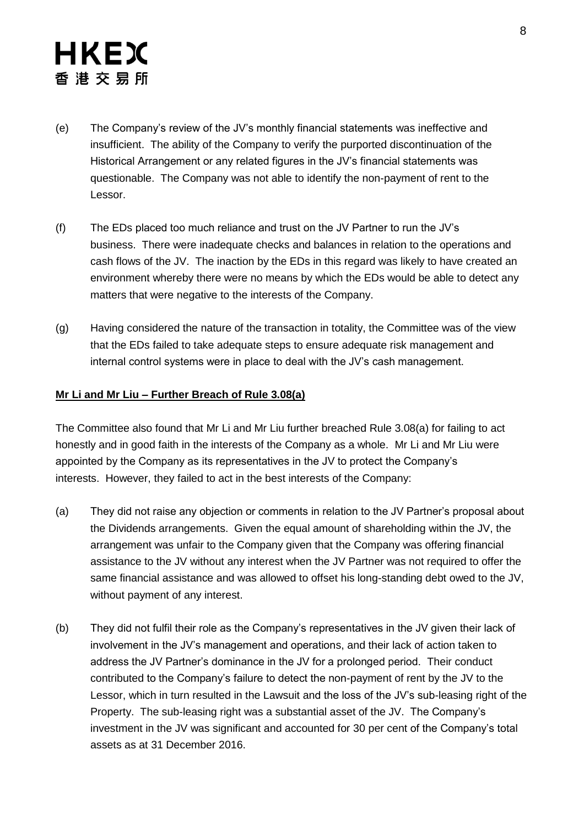- (e) The Company's review of the JV's monthly financial statements was ineffective and insufficient. The ability of the Company to verify the purported discontinuation of the Historical Arrangement or any related figures in the JV's financial statements was questionable. The Company was not able to identify the non-payment of rent to the Lessor.
- (f) The EDs placed too much reliance and trust on the JV Partner to run the JV's business. There were inadequate checks and balances in relation to the operations and cash flows of the JV. The inaction by the EDs in this regard was likely to have created an environment whereby there were no means by which the EDs would be able to detect any matters that were negative to the interests of the Company.
- (g) Having considered the nature of the transaction in totality, the Committee was of the view that the EDs failed to take adequate steps to ensure adequate risk management and internal control systems were in place to deal with the JV's cash management.

#### **Mr Li and Mr Liu – Further Breach of Rule 3.08(a)**

The Committee also found that Mr Li and Mr Liu further breached Rule 3.08(a) for failing to act honestly and in good faith in the interests of the Company as a whole. Mr Li and Mr Liu were appointed by the Company as its representatives in the JV to protect the Company's interests. However, they failed to act in the best interests of the Company:

- (a) They did not raise any objection or comments in relation to the JV Partner's proposal about the Dividends arrangements. Given the equal amount of shareholding within the JV, the arrangement was unfair to the Company given that the Company was offering financial assistance to the JV without any interest when the JV Partner was not required to offer the same financial assistance and was allowed to offset his long-standing debt owed to the JV, without payment of any interest.
- (b) They did not fulfil their role as the Company's representatives in the JV given their lack of involvement in the JV's management and operations, and their lack of action taken to address the JV Partner's dominance in the JV for a prolonged period. Their conduct contributed to the Company's failure to detect the non-payment of rent by the JV to the Lessor, which in turn resulted in the Lawsuit and the loss of the JV's sub-leasing right of the Property. The sub-leasing right was a substantial asset of the JV. The Company's investment in the JV was significant and accounted for 30 per cent of the Company's total assets as at 31 December 2016.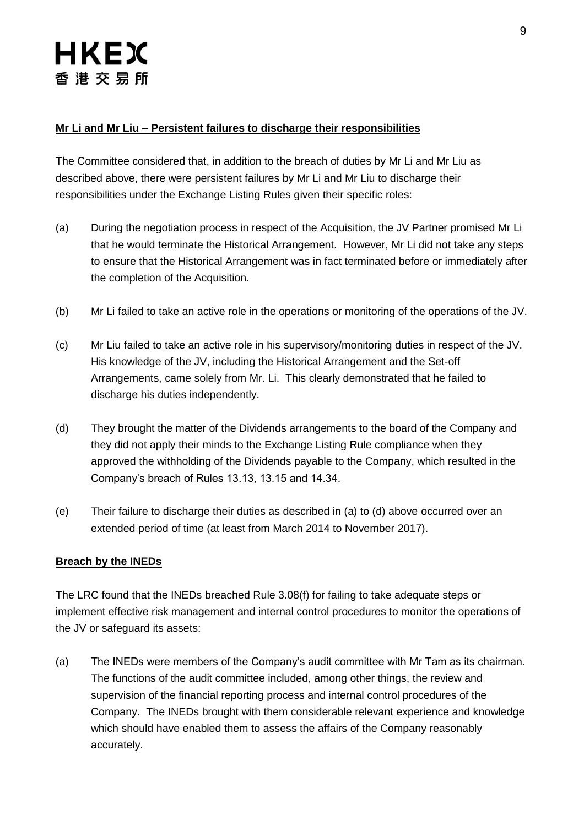#### **Mr Li and Mr Liu – Persistent failures to discharge their responsibilities**

The Committee considered that, in addition to the breach of duties by Mr Li and Mr Liu as described above, there were persistent failures by Mr Li and Mr Liu to discharge their responsibilities under the Exchange Listing Rules given their specific roles:

- (a) During the negotiation process in respect of the Acquisition, the JV Partner promised Mr Li that he would terminate the Historical Arrangement. However, Mr Li did not take any steps to ensure that the Historical Arrangement was in fact terminated before or immediately after the completion of the Acquisition.
- (b) Mr Li failed to take an active role in the operations or monitoring of the operations of the JV.
- (c) Mr Liu failed to take an active role in his supervisory/monitoring duties in respect of the JV. His knowledge of the JV, including the Historical Arrangement and the Set-off Arrangements, came solely from Mr. Li. This clearly demonstrated that he failed to discharge his duties independently.
- (d) They brought the matter of the Dividends arrangements to the board of the Company and they did not apply their minds to the Exchange Listing Rule compliance when they approved the withholding of the Dividends payable to the Company, which resulted in the Company's breach of Rules 13.13, 13.15 and 14.34.
- (e) Their failure to discharge their duties as described in (a) to (d) above occurred over an extended period of time (at least from March 2014 to November 2017).

#### **Breach by the INEDs**

The LRC found that the INEDs breached Rule 3.08(f) for failing to take adequate steps or implement effective risk management and internal control procedures to monitor the operations of the JV or safeguard its assets:

(a) The INEDs were members of the Company's audit committee with Mr Tam as its chairman. The functions of the audit committee included, among other things, the review and supervision of the financial reporting process and internal control procedures of the Company. The INEDs brought with them considerable relevant experience and knowledge which should have enabled them to assess the affairs of the Company reasonably accurately.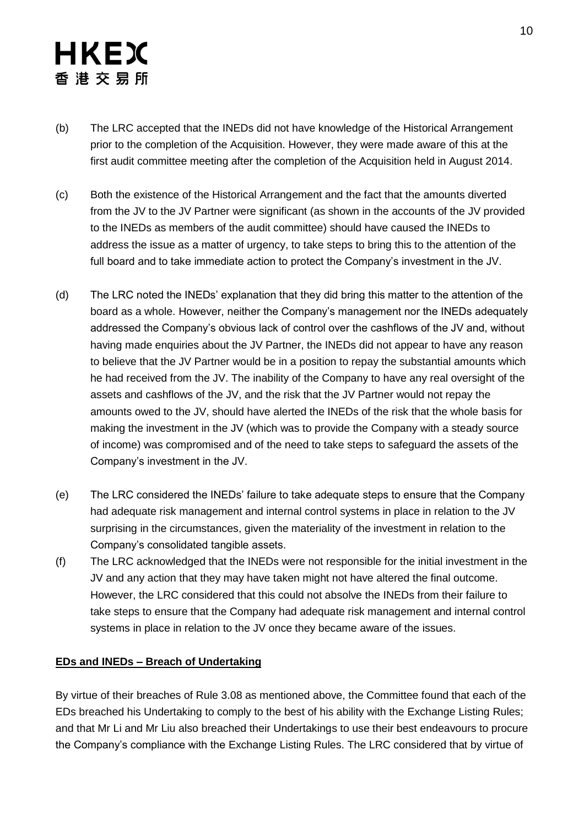- (b) The LRC accepted that the INEDs did not have knowledge of the Historical Arrangement prior to the completion of the Acquisition. However, they were made aware of this at the first audit committee meeting after the completion of the Acquisition held in August 2014.
- (c) Both the existence of the Historical Arrangement and the fact that the amounts diverted from the JV to the JV Partner were significant (as shown in the accounts of the JV provided to the INEDs as members of the audit committee) should have caused the INEDs to address the issue as a matter of urgency, to take steps to bring this to the attention of the full board and to take immediate action to protect the Company's investment in the JV.
- (d) The LRC noted the INEDs' explanation that they did bring this matter to the attention of the board as a whole. However, neither the Company's management nor the INEDs adequately addressed the Company's obvious lack of control over the cashflows of the JV and, without having made enquiries about the JV Partner, the INEDs did not appear to have any reason to believe that the JV Partner would be in a position to repay the substantial amounts which he had received from the JV. The inability of the Company to have any real oversight of the assets and cashflows of the JV, and the risk that the JV Partner would not repay the amounts owed to the JV, should have alerted the INEDs of the risk that the whole basis for making the investment in the JV (which was to provide the Company with a steady source of income) was compromised and of the need to take steps to safeguard the assets of the Company's investment in the JV.
- (e) The LRC considered the INEDs' failure to take adequate steps to ensure that the Company had adequate risk management and internal control systems in place in relation to the JV surprising in the circumstances, given the materiality of the investment in relation to the Company's consolidated tangible assets.
- (f) The LRC acknowledged that the INEDs were not responsible for the initial investment in the JV and any action that they may have taken might not have altered the final outcome. However, the LRC considered that this could not absolve the INEDs from their failure to take steps to ensure that the Company had adequate risk management and internal control systems in place in relation to the JV once they became aware of the issues.

#### **EDs and INEDs – Breach of Undertaking**

By virtue of their breaches of Rule 3.08 as mentioned above, the Committee found that each of the EDs breached his Undertaking to comply to the best of his ability with the Exchange Listing Rules; and that Mr Li and Mr Liu also breached their Undertakings to use their best endeavours to procure the Company's compliance with the Exchange Listing Rules. The LRC considered that by virtue of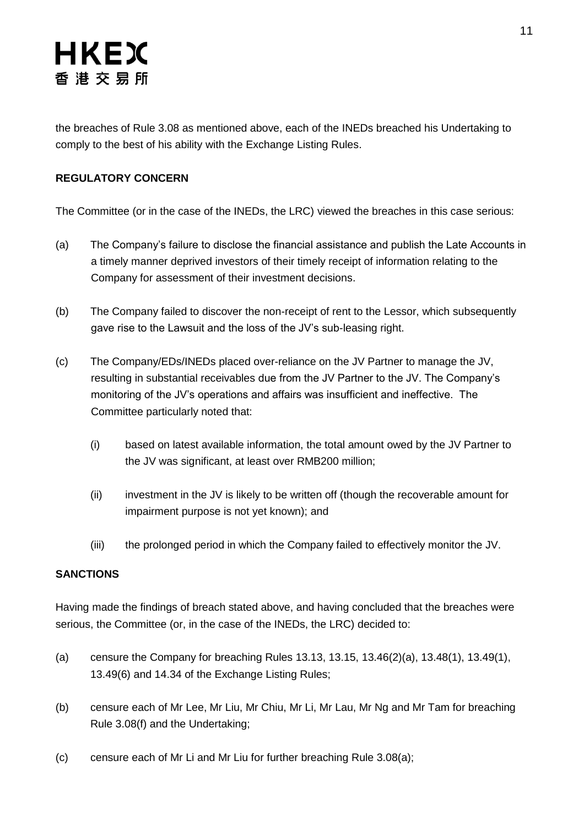the breaches of Rule 3.08 as mentioned above, each of the INEDs breached his Undertaking to comply to the best of his ability with the Exchange Listing Rules.

### **REGULATORY CONCERN**

The Committee (or in the case of the INEDs, the LRC) viewed the breaches in this case serious:

- (a) The Company's failure to disclose the financial assistance and publish the Late Accounts in a timely manner deprived investors of their timely receipt of information relating to the Company for assessment of their investment decisions.
- (b) The Company failed to discover the non-receipt of rent to the Lessor, which subsequently gave rise to the Lawsuit and the loss of the JV's sub-leasing right.
- (c) The Company/EDs/INEDs placed over-reliance on the JV Partner to manage the JV, resulting in substantial receivables due from the JV Partner to the JV. The Company's monitoring of the JV's operations and affairs was insufficient and ineffective. The Committee particularly noted that:
	- (i) based on latest available information, the total amount owed by the JV Partner to the JV was significant, at least over RMB200 million;
	- (ii) investment in the JV is likely to be written off (though the recoverable amount for impairment purpose is not yet known); and
	- (iii) the prolonged period in which the Company failed to effectively monitor the JV.

### **SANCTIONS**

Having made the findings of breach stated above, and having concluded that the breaches were serious, the Committee (or, in the case of the INEDs, the LRC) decided to:

- (a) censure the Company for breaching Rules 13.13, 13.15, 13.46(2)(a), 13.48(1), 13.49(1), 13.49(6) and 14.34 of the Exchange Listing Rules;
- (b) censure each of Mr Lee, Mr Liu, Mr Chiu, Mr Li, Mr Lau, Mr Ng and Mr Tam for breaching Rule 3.08(f) and the Undertaking;
- (c) censure each of Mr Li and Mr Liu for further breaching Rule 3.08(a);